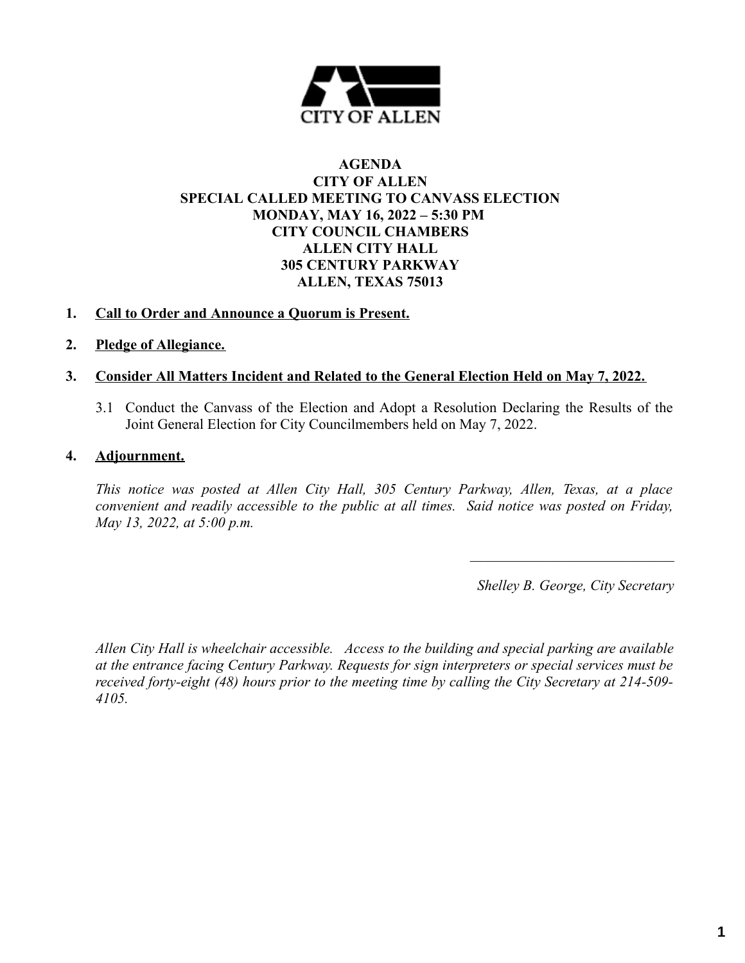

## **AGENDA CITY OF ALLEN SPECIAL CALLED MEETING TO CANVASS ELECTION MONDAY, MAY 16, 2022 – 5:30 PM CITY COUNCIL CHAMBERS ALLEN CITY HALL 305 CENTURY PARKWAY ALLEN, TEXAS 75013**

## **1. Call to Order and Announce a Quorum is Present.**

## **2. Pledge of Allegiance.**

## **3. Consider All Matters Incident and Related to the General Election Held on May 7, 2022.**

3.1 Conduct the Canvass of the Election and Adopt a Resolution Declaring the Results of the Joint General Election for City Councilmembers held on May 7, 2022.

## **4. Adjournment.**

*This notice was posted at Allen City Hall, 305 Century Parkway, Allen, Texas, at a place convenient and readily accessible to the public at all times. Said notice was posted on Friday, May 13, 2022, at 5:00 p.m.*

*Shelley B. George, City Secretary*

*\_\_\_\_\_\_\_\_\_\_\_\_\_\_\_\_\_\_\_\_\_\_\_\_\_\_\_\_*

*Allen City Hall is wheelchair accessible. Access to the building and special parking are available at the entrance facing Century Parkway. Requests for sign interpreters or special services must be received forty-eight (48) hours prior to the meeting time by calling the City Secretary at 214-509- 4105.*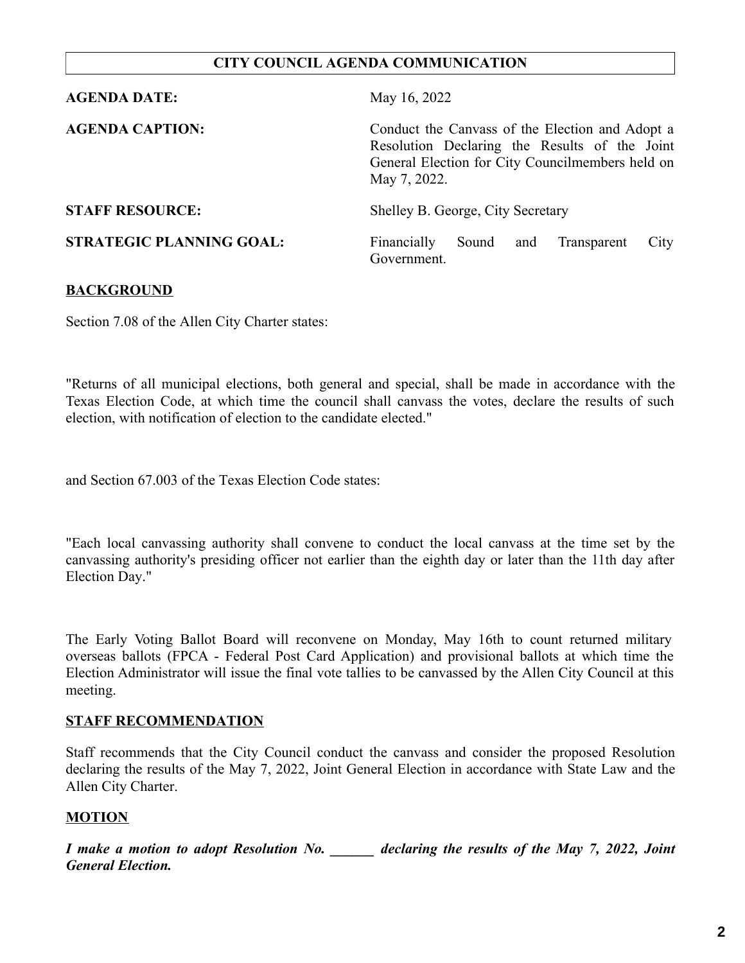## **CITY COUNCIL AGENDA COMMUNICATION**

## **AGENDA DATE:** May 16, 2022

**AGENDA CAPTION:** Conduct the Canvass of the Election and Adopt a Resolution Declaring the Results of the Joint General Election for City Councilmembers held on May 7, 2022.

**STAFF RESOURCE:** Shelley B. George, City Secretary

**STRATEGIC PLANNING GOAL:** Financially Sound and Transparent City Government.

## **BACKGROUND**

Section 7.08 of the Allen City Charter states:

"Returns of all municipal elections, both general and special, shall be made in accordance with the Texas Election Code, at which time the council shall canvass the votes, declare the results of such election, with notification of election to the candidate elected."

and Section 67.003 of the Texas Election Code states:

"Each local canvassing authority shall convene to conduct the local canvass at the time set by the canvassing authority's presiding officer not earlier than the eighth day or later than the 11th day after Election Day."

The Early Voting Ballot Board will reconvene on Monday, May 16th to count returned military overseas ballots (FPCA - Federal Post Card Application) and provisional ballots at which time the Election Administrator will issue the final vote tallies to be canvassed by the Allen City Council at this meeting.

#### **STAFF RECOMMENDATION**

Staff recommends that the City Council conduct the canvass and consider the proposed Resolution declaring the results of the May 7, 2022, Joint General Election in accordance with State Law and the Allen City Charter.

## **MOTION**

*I make a motion to adopt Resolution No. \_\_\_\_\_\_ declaring the results of the May 7, 2022, Joint General Election.*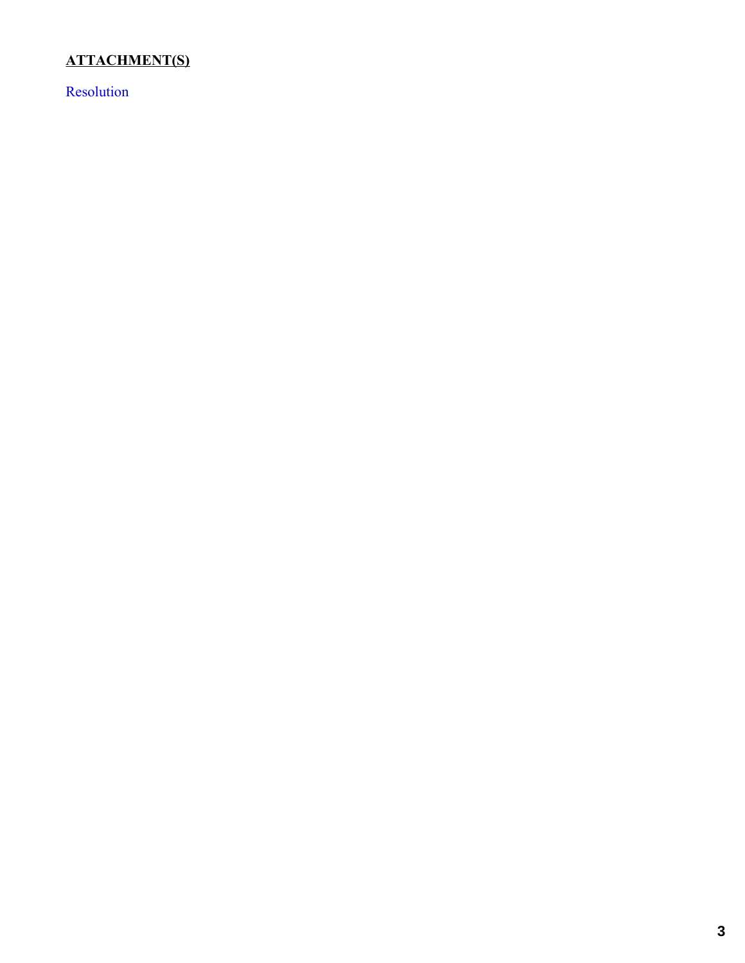# **ATTACHMENT(S)**

[Resolution](https://legistarweb-production.s3.amazonaws.com/uploads/attachment/pdf/1380322/051622r_Canvass_general.pdf)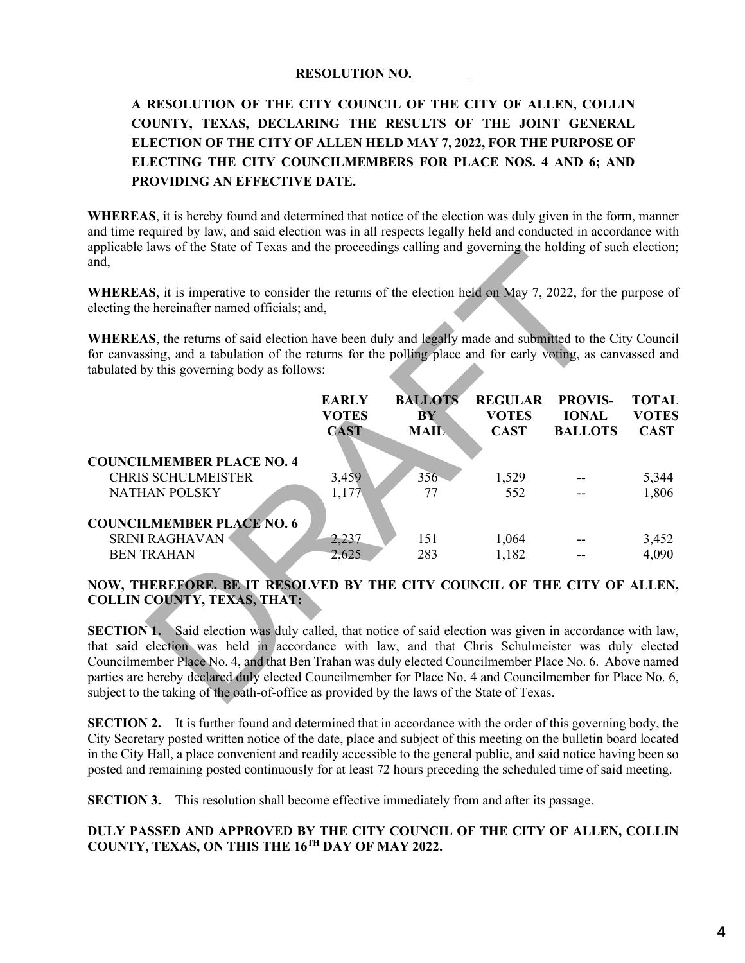#### **RESOLUTION NO.**

## **A RESOLUTION OF THE CITY COUNCIL OF THE CITY OF ALLEN, COLLIN COUNTY, TEXAS, DECLARING THE RESULTS OF THE JOINT GENERAL ELECTION OF THE CITY OF ALLEN HELD MAY 7, 2022, FOR THE PURPOSE OF ELECTING THE CITY COUNCILMEMBERS FOR PLACE NOS. 4 AND 6; AND PROVIDING AN EFFECTIVE DATE.**

**WHEREAS**, it is hereby found and determined that notice of the election was duly given in the form, manner and time required by law, and said election was in all respects legally held and conducted in accordance with applicable laws of the State of Texas and the proceedings calling and governing the holding of such election; and,

| applicable laws of the state of Texas and the proceedings cannig and governing the holding of such election,<br>and,                                                                                                                                                                                                                                                                                                                                                                                                              |                                             |                                     |                                               |                                                  |                                             |
|-----------------------------------------------------------------------------------------------------------------------------------------------------------------------------------------------------------------------------------------------------------------------------------------------------------------------------------------------------------------------------------------------------------------------------------------------------------------------------------------------------------------------------------|---------------------------------------------|-------------------------------------|-----------------------------------------------|--------------------------------------------------|---------------------------------------------|
| <b>WHEREAS</b> , it is imperative to consider the returns of the election held on May 7, 2022, for the purpose of<br>electing the hereinafter named officials; and,                                                                                                                                                                                                                                                                                                                                                               |                                             |                                     |                                               |                                                  |                                             |
| WHEREAS, the returns of said election have been duly and legally made and submitted to the City Council<br>for canvassing, and a tabulation of the returns for the polling place and for early voting, as canvassed and<br>tabulated by this governing body as follows:                                                                                                                                                                                                                                                           |                                             |                                     |                                               |                                                  |                                             |
|                                                                                                                                                                                                                                                                                                                                                                                                                                                                                                                                   | <b>EARLY</b><br><b>VOTES</b><br><b>CAST</b> | <b>BALLOTS</b><br>BY<br><b>MAIL</b> | <b>REGULAR</b><br><b>VOTES</b><br><b>CAST</b> | <b>PROVIS-</b><br><b>IONAL</b><br><b>BALLOTS</b> | <b>TOTAL</b><br><b>VOTES</b><br><b>CAST</b> |
| <b>COUNCILMEMBER PLACE NO. 4</b>                                                                                                                                                                                                                                                                                                                                                                                                                                                                                                  |                                             |                                     |                                               |                                                  |                                             |
| <b>CHRIS SCHULMEISTER</b>                                                                                                                                                                                                                                                                                                                                                                                                                                                                                                         | 3,459                                       | 356                                 | 1,529                                         |                                                  | 5,344                                       |
| <b>NATHAN POLSKY</b>                                                                                                                                                                                                                                                                                                                                                                                                                                                                                                              | 1,177                                       | 77                                  | 552                                           |                                                  | 1,806                                       |
| <b>COUNCILMEMBER PLACE NO. 6</b>                                                                                                                                                                                                                                                                                                                                                                                                                                                                                                  |                                             |                                     |                                               |                                                  |                                             |
| <b>SRINI RAGHAVAN</b>                                                                                                                                                                                                                                                                                                                                                                                                                                                                                                             | 2,237                                       | 151                                 | 1,064                                         |                                                  | 3,452                                       |
| <b>BEN TRAHAN</b>                                                                                                                                                                                                                                                                                                                                                                                                                                                                                                                 | 2,625                                       | 283                                 | 1,182                                         |                                                  | 4,090                                       |
| NOW, THEREFORE, BE IT RESOLVED BY THE CITY COUNCIL OF THE CITY OF ALLEN,<br><b>COLLIN COUNTY, TEXAS, THAT:</b>                                                                                                                                                                                                                                                                                                                                                                                                                    |                                             |                                     |                                               |                                                  |                                             |
| SECTION 1. Said election was duly called, that notice of said election was given in accordance with law,<br>that said election was held in accordance with law, and that Chris Schulmeister was duly elected<br>Councilmember Place No. 4, and that Ben Trahan was duly elected Councilmember Place No. 6. Above named<br>parties are hereby declared duly elected Councilmember for Place No. 4 and Councilmember for Place No. 6,<br>subject to the taking of the oath-of-office as provided by the laws of the State of Texas. |                                             |                                     |                                               |                                                  |                                             |

#### **NOW, THEREFORE, BE IT RESOLVED BY THE CITY COUNCIL OF THE CITY OF ALLEN, COLLIN COUNTY, TEXAS, THAT:**

**SECTION 2.** It is further found and determined that in accordance with the order of this governing body, the City Secretary posted written notice of the date, place and subject of this meeting on the bulletin board located in the City Hall, a place convenient and readily accessible to the general public, and said notice having been so posted and remaining posted continuously for at least 72 hours preceding the scheduled time of said meeting.

**SECTION 3.** This resolution shall become effective immediately from and after its passage.

#### **DULY PASSED AND APPROVED BY THE CITY COUNCIL OF THE CITY OF ALLEN, COLLIN COUNTY, TEXAS, ON THIS THE 16TH DAY OF MAY 2022.**